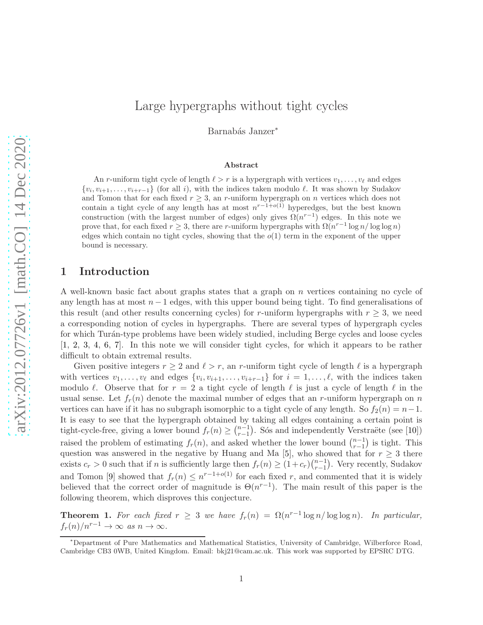# Large hypergraphs without tight cycles

Barnabás Janzer<sup>\*</sup>

#### Abstract

An r-uniform tight cycle of length  $\ell > r$  is a hypergraph with vertices  $v_1, \ldots, v_\ell$  and edges  $\{v_i, v_{i+1}, \ldots, v_{i+r-1}\}$  (for all i), with the indices taken modulo  $\ell$ . It was shown by Sudakov and Tomon that for each fixed  $r \geq 3$ , an r-uniform hypergraph on n vertices which does not contain a tight cycle of any length has at most  $n^{r-1+o(1)}$  hyperedges, but the best known construction (with the largest number of edges) only gives  $\Omega(n^{r-1})$  edges. In this note we prove that, for each fixed  $r \geq 3$ , there are r-uniform hypergraphs with  $\Omega(n^{r-1} \log n / \log \log n)$ edges which contain no tight cycles, showing that the  $o(1)$  term in the exponent of the upper bound is necessary.

# 1 Introduction

A well-known basic fact about graphs states that a graph on n vertices containing no cycle of any length has at most  $n-1$  edges, with this upper bound being tight. To find generalisations of this result (and other results concerning cycles) for r-uniform hypergraphs with  $r \geq 3$ , we need a corresponding notion of cycles in hypergraphs. There are several types of hypergraph cycles for which Turán-type problems have been widely studied, including Berge cycles and loose cycles [\[1,](#page-2-0) [2,](#page-2-1) [3,](#page-2-2) [4,](#page-2-3) [6,](#page-2-4) [7\]](#page-2-5). In this note we will consider tight cycles, for which it appears to be rather difficult to obtain extremal results.

Given positive integers  $r \geq 2$  and  $\ell > r$ , an r-uniform tight cycle of length  $\ell$  is a hypergraph with vertices  $v_1, \ldots, v_\ell$  and edges  $\{v_i, v_{i+1}, \ldots, v_{i+r-1}\}$  for  $i = 1, \ldots, \ell$ , with the indices taken modulo  $\ell$ . Observe that for  $r = 2$  a tight cycle of length  $\ell$  is just a cycle of length  $\ell$  in the usual sense. Let  $f_r(n)$  denote the maximal number of edges that an r-uniform hypergraph on n vertices can have if it has no subgraph isomorphic to a tight cycle of any length. So  $f_2(n) = n-1$ . It is easy to see that the hypergraph obtained by taking all edges containing a certain point is tight-cycle-free, giving a lower bound  $f_r(n) \geq \binom{n-1}{r-1}$  $\binom{n-1}{r-1}$ . Sós and independently Verstraëte (see [\[10\]](#page-3-0)) raised the problem of estimating  $f_r(n)$ , and asked whether the lower bound  $\binom{n-1}{r-1}$  is tight. This raised the problem of estimating  $f_r(n)$ , and asked whether the lower bound  $\binom{r-1}{r-1}$  is tight. This question was answered in the negative by Huang and Ma [\[5\]](#page-2-6), who showed that for  $r \geq 3$  there exists  $c_r > 0$  such that if n is sufficiently large then  $f_r(n) \ge (1+c_r)\binom{n-1}{r-1}$  $_{r-1}^{n-1}$ ). Very recently, Sudakov and Tomon [\[9\]](#page-3-1) showed that  $f_r(n) \leq n^{r-1+o(1)}$  for each fixed r, and commented that it is widely believed that the correct order of magnitude is  $\Theta(n^{r-1})$ . The main result of this paper is the following theorem, which disproves this conjecture.

<span id="page-0-0"></span>**Theorem 1.** For each fixed  $r \geq 3$  we have  $f_r(n) = \Omega(n^{r-1} \log n / \log \log n)$ . In particular,  $f_r(n)/n^{r-1} \to \infty$  *as*  $n \to \infty$ *.* 

<sup>∗</sup>Department of Pure Mathematics and Mathematical Statistics, University of Cambridge, Wilberforce Road, Cambridge CB3 0WB, United Kingdom. Email: bkj21@cam.ac.uk. This work was supported by EPSRC DTG.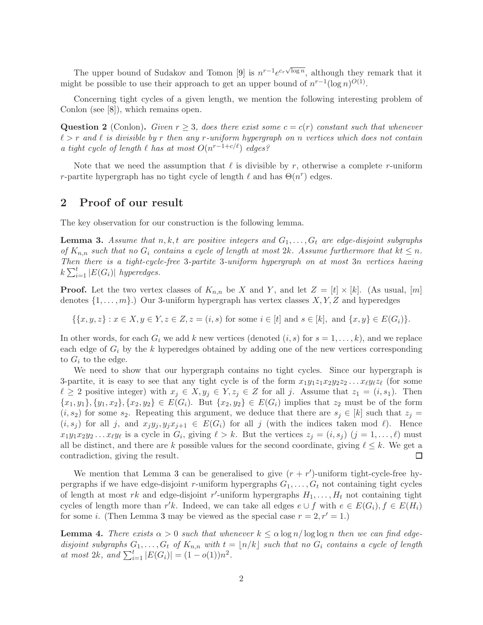The upper bound of Sudakov and Tomon [\[9\]](#page-3-1) is  $n^{r-1}e^{c_r\sqrt{\log n}}$ , although they remark that it might be possible to use their approach to get an upper bound of  $n^{r-1}(\log n)^{O(1)}$ .

Concerning tight cycles of a given length, we mention the following interesting problem of Conlon (see [\[8\]](#page-2-7)), which remains open.

Question 2 (Conlon). *Given*  $r \geq 3$ , *does there exist some*  $c = c(r)$  *constant such that whenever* ℓ > r *and* ℓ *is divisible by* r *then any* r*-uniform hypergraph on* n *vertices which does not contain a tight cycle of length*  $\ell$  *has at most*  $O(n^{r-1+c/\ell})$  *edges?* 

Note that we need the assumption that  $\ell$  is divisible by r, otherwise a complete r-uniform r-partite hypergraph has no tight cycle of length  $\ell$  and has  $\Theta(n^r)$  edges.

## 2 Proof of our result

The key observation for our construction is the following lemma.

<span id="page-1-0"></span>**Lemma 3.** Assume that  $n, k, t$  are positive integers and  $G_1, \ldots, G_t$  are edge-disjoint subgraphs *of*  $K_{n,n}$  *such that no*  $G_i$  *contains a cycle of length at most 2k. Assume furthermore that*  $kt \leq n$ *. Then there is a tight-cycle-free* 3*-partite* 3*-uniform hypergraph on at most* 3n *vertices having*  $k\sum_{i=1}^t |E(G_i)|$  *hyperedges.* 

**Proof.** Let the two vertex classes of  $K_{n,n}$  be X and Y, and let  $Z = [t] \times [k]$ . (As usual,  $[m]$ denotes  $\{1, \ldots, m\}$ .) Our 3-uniform hypergraph has vertex classes  $X, Y, Z$  and hyperedges

 $\{\{x, y, z\} : x \in X, y \in Y, z \in Z, z = (i, s) \text{ for some } i \in [t] \text{ and } s \in [k], \text{ and } \{x, y\} \in E(G_i)\}.$ 

In other words, for each  $G_i$  we add k new vertices (denoted  $(i, s)$  for  $s = 1, \ldots, k$ ), and we replace each edge of  $G_i$  by the k hyperedges obtained by adding one of the new vertices corresponding to  $G_i$  to the edge.

We need to show that our hypergraph contains no tight cycles. Since our hypergraph is 3-partite, it is easy to see that any tight cycle is of the form  $x_1y_1z_1x_2y_2z_2...x_\ell y_\ell z_\ell$  (for some  $\ell \geq 2$  positive integer) with  $x_j \in X, y_j \in Y, z_j \in Z$  for all j. Assume that  $z_1 = (i, s_1)$ . Then  ${x_1, y_1}, {y_1, x_2}, {x_2, y_2} \in E(G_i)$ . But  ${x_2, y_2} \in E(G_i)$  implies that  $z_2$  must be of the form  $(i, s_2)$  for some  $s_2$ . Repeating this argument, we deduce that there are  $s_j \in [k]$  such that  $z_j =$  $(i, s_j)$  for all j, and  $x_j y_j, y_j x_{j+1} \in E(G_i)$  for all j (with the indices taken mod  $\ell$ ). Hence  $x_1y_1x_2y_2...x_\ell y_\ell$  is a cycle in  $G_i$ , giving  $\ell > k$ . But the vertices  $z_j = (i, s_j)$   $(j = 1, ..., \ell)$  must all be distinct, and there are k possible values for the second coordinate, giving  $\ell \leq k$ . We get a contradiction, giving the result. □

We mention that Lemma [3](#page-1-0) can be generalised to give  $(r + r')$ -uniform tight-cycle-free hypergraphs if we have edge-disjoint r-uniform hypergraphs  $G_1, \ldots, G_t$  not containing tight cycles of length at most rk and edge-disjoint r'-uniform hypergraphs  $H_1, \ldots, H_t$  not containing tight cycles of length more than r'k. Indeed, we can take all edges  $e \cup f$  with  $e \in E(G_i)$ ,  $f \in E(H_i)$ for some *i*. (Then Lemma [3](#page-1-0) may be viewed as the special case  $r = 2, r' = 1$ .)

<span id="page-1-1"></span>**Lemma 4.** *There exists*  $\alpha > 0$  *such that whenever*  $k \leq \alpha \log n / \log \log n$  *then we can find edgedisjoint subgraphs*  $G_1, \ldots, G_t$  *of*  $K_{n,n}$  *with*  $t = \lfloor n/k \rfloor$  *such that no*  $G_i$  *contains a cycle of length at most 2k, and*  $\sum_{i=1}^{t} |E(G_i)| = (1 - o(1))n^2$ .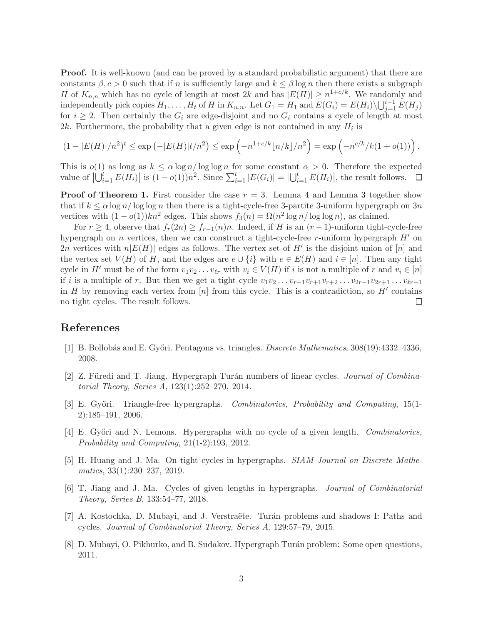Proof. It is well-known (and can be proved by a standard probabilistic argument) that there are constants  $\beta$ ,  $c > 0$  such that if n is sufficiently large and  $k \leq \beta \log n$  then there exists a subgraph H of  $K_{n,n}$  which has no cycle of length at most 2k and has  $|E(H)| \geq n^{1+c/k}$ . We randomly and independently pick copies  $H_1, \ldots, H_t$  of H in  $K_{n,n}$ . Let  $G_1 = H_1$  and  $E(G_i) = E(H_i) \setminus \bigcup_{j=1}^{i-1} E(H_j)$ for  $i \geq 2$ . Then certainly the  $G_i$  are edge-disjoint and no  $G_i$  contains a cycle of length at most 2k. Furthermore, the probability that a given edge is not contained in any  $H_i$  is

$$
(1 - |E(H)|/n^2)^t \le \exp(-|E(H)|t/n^2) \le \exp(-n^{1+c/k} \lfloor n/k \rfloor/n^2) = \exp(-n^{c/k}/k(1+o(1))).
$$

This is  $o(1)$  as long as  $k \le \alpha \log n / \log \log n$  for some constant  $\alpha > 0$ . Therefore the expected value of  $\left|\bigcup_{i=1}^t E(H_i)\right|$  is  $(1 - o(1))n^2$ . Since  $\sum_{i=1}^t |E(G_i)| = \left|\bigcup_{i=1}^t E(H_i)\right|$ , the result follows.

**Proof of Theorem [1.](#page-0-0)** First consider the case  $r = 3$  $r = 3$ . Lemma [4](#page-1-1) and Lemma 3 together show that if  $k \le \alpha \log n / \log \log n$  then there is a tight-cycle-free 3-partite 3-uniform hypergraph on 3n vertices with  $(1 - o(1))kn^2$  edges. This shows  $f_3(n) = \Omega(n^2 \log n / \log \log n)$ , as claimed.

For  $r \geq 4$ , observe that  $f_r(2n) \geq f_{r-1}(n)n$ . Indeed, if H is an  $(r-1)$ -uniform tight-cycle-free hypergraph on n vertices, then we can construct a tight-cycle-free r-uniform hypergraph  $H'$  on 2n vertices with  $n|E(H)|$  edges as follows. The vertex set of H' is the disjoint union of  $[n]$  and the vertex set  $V(H)$  of H, and the edges are  $e \cup \{i\}$  with  $e \in E(H)$  and  $i \in [n]$ . Then any tight cycle in H' must be of the form  $v_1v_2 \ldots v_{\ell r}$  with  $v_i \in V(H)$  if i is not a multiple of r and  $v_i \in [n]$ if i is a multiple of r. But then we get a tight cycle  $v_1v_2 \ldots v_{r-1}v_{r+1}v_{r+2} \ldots v_{2r-1}v_{2r+1} \ldots v_{\ell r-1}$ in H by removing each vertex from  $[n]$  from this cycle. This is a contradiction, so H' contains no tight cycles. The result follows. □

### <span id="page-2-0"></span>References

- <span id="page-2-1"></span>[1] B. Bollob´as and E. Gy˝ori. Pentagons vs. triangles. *Discrete Mathematics*, 308(19):4332–4336, 2008.
- [2] Z. Füredi and T. Jiang. Hypergraph Turán numbers of linear cycles. *Journal of Combinatorial Theory, Series A*, 123(1):252–270, 2014.
- <span id="page-2-2"></span>[3] E. Gy˝ori. Triangle-free hypergraphs. *Combinatorics, Probability and Computing*, 15(1- 2):185–191, 2006.
- <span id="page-2-3"></span>[4] E. Gy˝ori and N. Lemons. Hypergraphs with no cycle of a given length. *Combinatorics, Probability and Computing*, 21(1-2):193, 2012.
- <span id="page-2-6"></span>[5] H. Huang and J. Ma. On tight cycles in hypergraphs. *SIAM Journal on Discrete Mathematics*, 33(1):230–237, 2019.
- <span id="page-2-4"></span>[6] T. Jiang and J. Ma. Cycles of given lengths in hypergraphs. *Journal of Combinatorial Theory, Series B*, 133:54–77, 2018.
- <span id="page-2-7"></span><span id="page-2-5"></span>[7] A. Kostochka, D. Mubayi, and J. Verstraëte. Turán problems and shadows I: Paths and cycles. *Journal of Combinatorial Theory, Series A*, 129:57–79, 2015.
- [8] D. Mubayi, O. Pikhurko, and B. Sudakov. Hypergraph Turán problem: Some open questions, 2011.